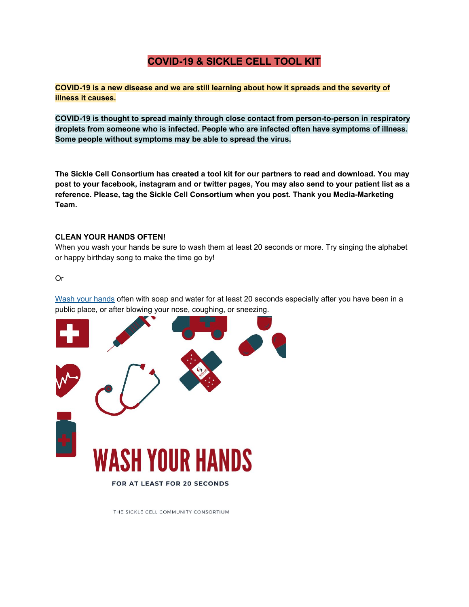#### **COVID-19 & SICKLE CELL TOOL KIT**

**COVID-19 is a new disease and we are still learning about how it spreads and the severity of illness it causes.**

**COVID-19 is thought to spread mainly through close contact from person-to-person in respiratory droplets from someone who is infected. People who are infected often have symptoms of illness. Some people without symptoms may be able to spread the virus.**

**The Sickle Cell Consortium has created a tool kit for our partners to read and download. You may** post to your facebook, instagram and or twitter pages, You may also send to your patient list as a **reference. Please, tag the Sickle Cell Consortium when you post. Thank you Media-Marketing Team.**

#### **CLEAN YOUR HANDS OFTEN!**

When you wash your hands be sure to wash them at least 20 seconds or more. Try singing the alphabet or happy birthday song to make the time go by!

#### Or

Wash your [hands](https://www.cdc.gov/handwashing/when-how-handwashing.html) often with soap and water for at least 20 seconds especially after you have been in a public place, or after blowing your nose, coughing, or sneezing.



THE SICKLE CELL COMMUNITY CONSORTIUM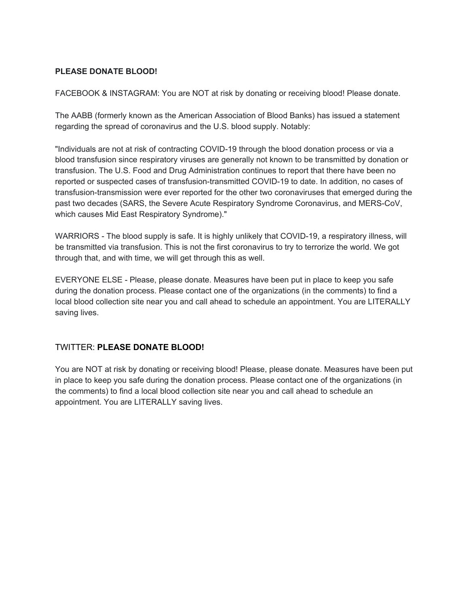#### **PLEASE DONATE BLOOD!**

FACEBOOK & INSTAGRAM: You are NOT at risk by donating or receiving blood! Please donate.

The AABB (formerly known as the American Association of Blood Banks) has issued a statement regarding the spread of coronavirus and the U.S. blood supply. Notably:

"Individuals are not at risk of contracting COVID-19 through the blood donation process or via a blood transfusion since respiratory viruses are generally not known to be transmitted by donation or transfusion. The U.S. Food and Drug Administration continues to report that there have been no reported or suspected cases of transfusion-transmitted COVID-19 to date. In addition, no cases of transfusion-transmission were ever reported for the other two coronaviruses that emerged during the past two decades (SARS, the Severe Acute Respiratory Syndrome Coronavirus, and MERS-CoV, which causes Mid East Respiratory Syndrome)."

WARRIORS - The blood supply is safe. It is highly unlikely that COVID-19, a respiratory illness, will be transmitted via transfusion. This is not the first coronavirus to try to terrorize the world. We got through that, and with time, we will get through this as well.

EVERYONE ELSE - Please, please donate. Measures have been put in place to keep you safe during the donation process. Please contact one of the organizations (in the comments) to find a local blood collection site near you and call ahead to schedule an appointment. You are LITERALLY saving lives.

#### TWITTER: **PLEASE DONATE BLOOD!**

You are NOT at risk by donating or receiving blood! Please, please donate. Measures have been put in place to keep you safe during the donation process. Please contact one of the organizations (in the comments) to find a local blood collection site near you and call ahead to schedule an appointment. You are LITERALLY saving lives.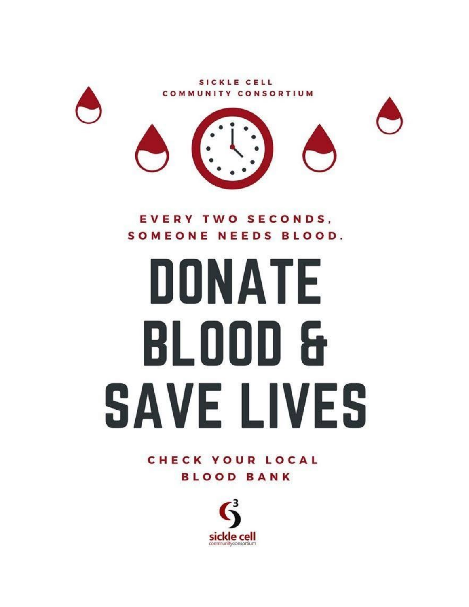

EVERY TWO SECONDS, SOMEONE NEEDS BLOOD.

## DONATE BL000 & **SAVE LIVES**

**CHECK YOUR LOCAL BLOOD BANK** 

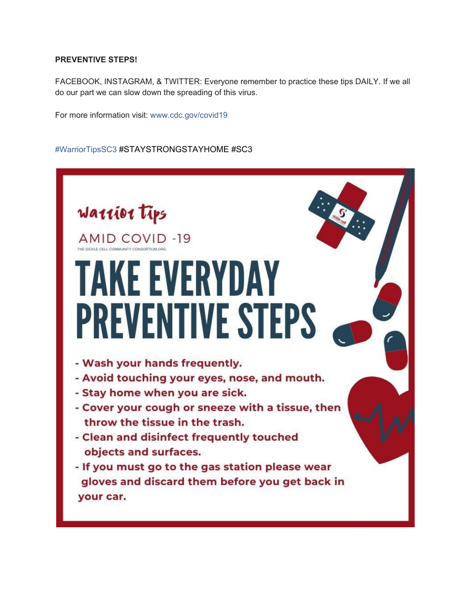#### **PREVENTIVE STEPS!**

FACEBOOK, INSTAGRAM, & TWITTER: Everyone remember to practice these tips DAILY. If we all do our part we can slow down the spreading of this virus.

For more information visit: [www.cdc.gov/covid19](https://l.facebook.com/l.php?u=https%3A%2F%2Fwww.cdc.gov%2Fcovid19%3Ffbclid%3DIwAR1jEbo0MH2rli7KWoBeefN1sqDQEeN0F0LTm6i4YPCzw7jrrKWkFAOND6Q&h=AT3ggsJt-2rFVQbkh9ojvVrPB1lBLIuIBQpOXEZisw6YzxwL4ZrHZqzKnT7eSrBrGRBYl6JeMrM9elna8bTUZEHkNwDxYjh5_ODBX-D7fbktaQ7CMQvcfcrumuqMfZxVd0wfzhGeqpXrHPIyeyD-SQI)

#### [#WarriorTipsSC3](https://www.facebook.com/hashtag/warriortipssc3?epa=HASHTAG) #STAYSTRONGSTAYHOME #SC3

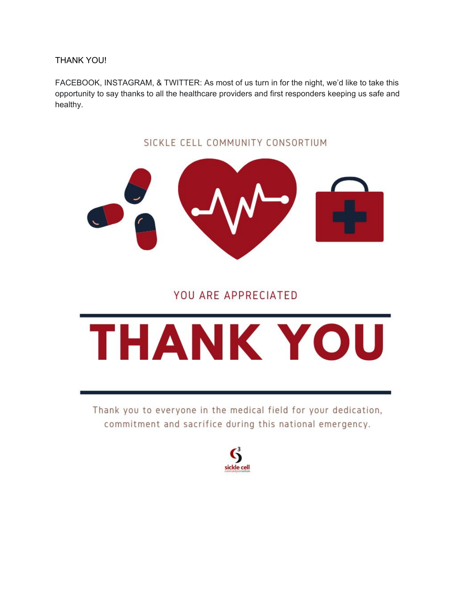THANK YOU!

FACEBOOK, INSTAGRAM, & TWITTER: As most of us turn in for the night, we'd like to take this opportunity to say thanks to all the healthcare providers and first responders keeping us safe and healthy.

# SICKLE CELL COMMUNITY CONSORTIUM

#### YOU ARE APPRECIATED

## THANK YOU

Thank you to everyone in the medical field for your dedication, commitment and sacrifice during this national emergency.

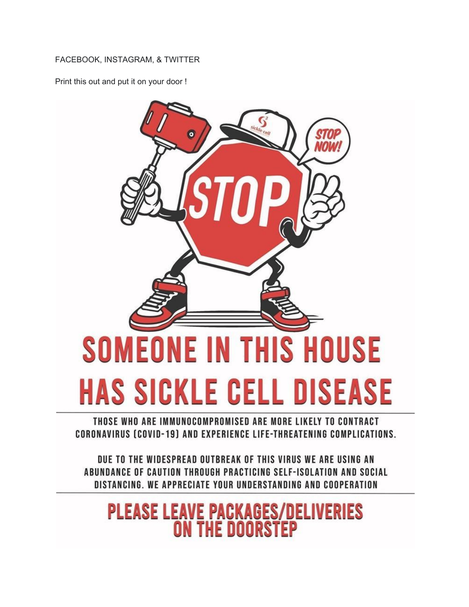#### FACEBOOK, INSTAGRAM, & TWITTER

Print this out and put it on your door !



#### THOSE WHO ARE IMMUNOCOMPROMISED ARE MORE LIKELY TO CONTRACT CORONAVIRUS (COVID-19) AND EXPERIENCE LIFE-THREATENING COMPLICATIONS.

DUE TO THE WIDESPREAD OUTBREAK OF THIS VIRUS WE ARE USING AN ABUNDANCE OF CAUTION THROUGH PRACTICING SELF-ISOLATION AND SOCIAL DISTANCING. WE APPRECIATE YOUR UNDERSTANDING AND COOPERATION

### **PLEASE LEAVE PACKAGES/DELIVERIES**<br>ON THE DOORSTEP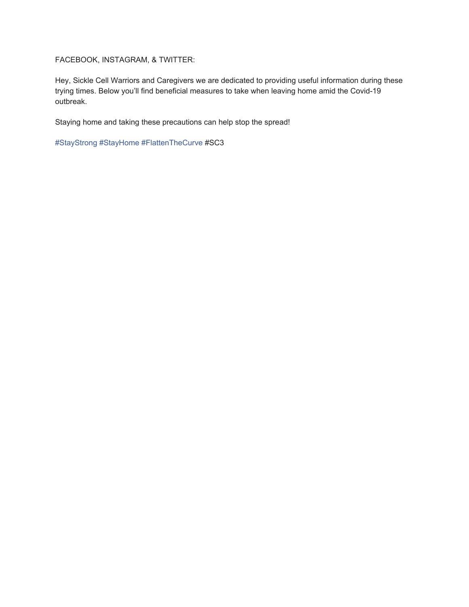FACEBOOK, INSTAGRAM, & TWITTER:

Hey, Sickle Cell Warriors and Caregivers we are dedicated to providing useful information during these trying times. Below you'll find beneficial measures to take when leaving home amid the Covid-19 outbreak.

Staying home and taking these precautions can help stop the spread!

[#StayStrong](https://www.facebook.com/hashtag/staystrong?epa=HASHTAG) [#StayHome](https://www.facebook.com/hashtag/stayhome?epa=HASHTAG) [#FlattenTheCurve](https://www.facebook.com/hashtag/flattenthecurve?epa=HASHTAG) #SC3